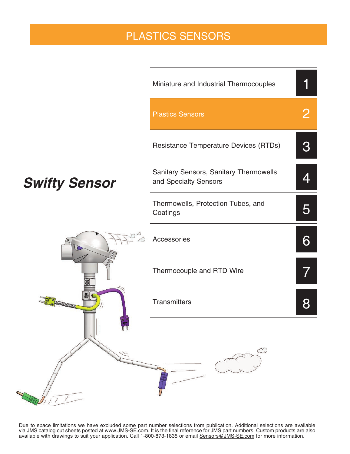# PLASTICS SENSORS



Due to space limitations we have excluded some part number selections from publication. Additional selections are available via JMS catalog cut sheets posted at www.JMS-SE.com. It is the final reference for JMS part numbers. Custom products are also available with drawings to suit your application. Call 1-800-873-1835 or email Sensors@JMS-SE.com for more information.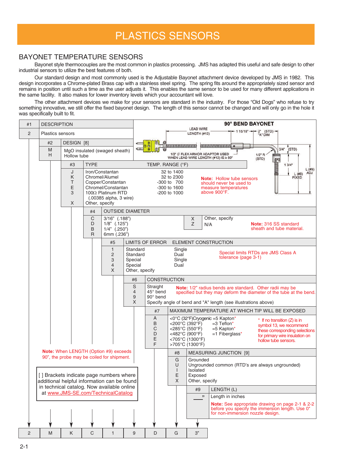# PLASTICS SENSORS

#### BAYONET TEMPERATURE SENSORS

Bayonet style thermocouples are the most common in plastics processing. JMS has adapted this useful and safe design to other industrial sensors to utilize the best features of both.

Our standard design and most commonly used is the Adjustable Bayonet attachment device developed by JMS in 1982. This design incorporates a Chrome-plated Brass cap with a stainless steel spring. The spring fits around the appropriately sized sensor and remains in position until such a time as the user adjusts it. This enables the same sensor to be used for many different applications in the same facility. It also makes for lower inventory levels which your accountant will love.

The other attachment devices we make for your sensors are standard in the industry. For those "Old Dogs" who refuse to try something innovative, we still offer the fixed bayonet design. The length of this sensor cannot be changed and will only go in the hole it was specifically built to fit.

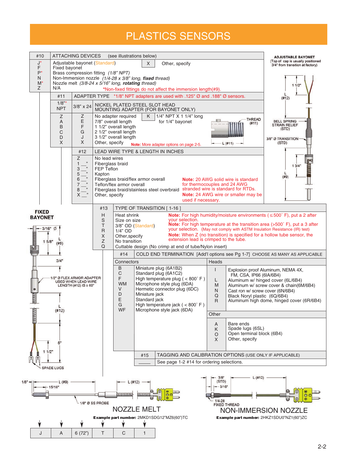# PLASTICS SENSORS

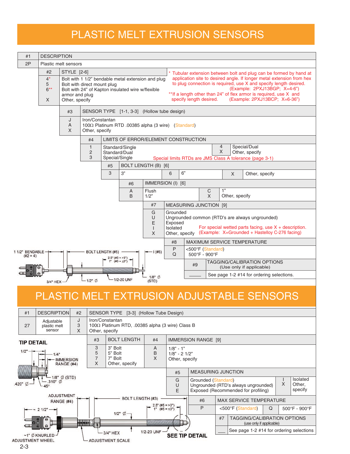# PLASTIC MELT EXTRUSION SENSORS

| #1                                                                                                                                       |                                    | <b>DESCRIPTION</b>                                                                                                  |                                   |                                             |                                                   |                                                    |                                                                                                                                                                                                                                                                                                                                                                                   |                                                                                                           |                                                               |  |                |  |
|------------------------------------------------------------------------------------------------------------------------------------------|------------------------------------|---------------------------------------------------------------------------------------------------------------------|-----------------------------------|---------------------------------------------|---------------------------------------------------|----------------------------------------------------|-----------------------------------------------------------------------------------------------------------------------------------------------------------------------------------------------------------------------------------------------------------------------------------------------------------------------------------------------------------------------------------|-----------------------------------------------------------------------------------------------------------|---------------------------------------------------------------|--|----------------|--|
| 2P                                                                                                                                       |                                    | Plastic melt sensors                                                                                                |                                   |                                             |                                                   |                                                    |                                                                                                                                                                                                                                                                                                                                                                                   |                                                                                                           |                                                               |  |                |  |
|                                                                                                                                          | #2<br>$4^*$<br>5<br>$6***$<br>X    | STYLE [2-6]<br>armor and plug<br>Other, specify                                                                     | Bolt with direct mount plug       |                                             | Bolt with 24" of Kapton insulated wire w/flexible | Bolt with 1 1/2" bendable metal extension and plug | * Tubular extension between bolt and plug can be formed by hand at<br>application site to desired angle. If longer metal extension from hex<br>to plug connection is required, use X and specify length desired.<br>(Example: 2PXJ13BGP; X=4-6")<br>**If a length other than 24" of flex armor is required, use X and<br>specify length desired.<br>(Example: 2PXJ13BCP; X=6-36") |                                                                                                           |                                                               |  |                |  |
|                                                                                                                                          |                                    | #3                                                                                                                  |                                   | SENSOR TYPE [1-1, 3-3] (Hollow tube design) |                                                   |                                                    |                                                                                                                                                                                                                                                                                                                                                                                   |                                                                                                           |                                                               |  |                |  |
|                                                                                                                                          |                                    | J<br>Iron/Constantan<br>$\overline{A}$<br>100Ω Platinum RTD .00385 alpha (3 wire) (Standard)<br>X<br>Other, specify |                                   |                                             |                                                   |                                                    |                                                                                                                                                                                                                                                                                                                                                                                   |                                                                                                           |                                                               |  |                |  |
| LIMITS OF ERROR/ELEMENT CONSTRUCTION<br>#4                                                                                               |                                    |                                                                                                                     |                                   |                                             |                                                   |                                                    |                                                                                                                                                                                                                                                                                                                                                                                   |                                                                                                           |                                                               |  |                |  |
| $\mathbf{1}$<br>Standard/Single<br>Standard/Dual<br>2<br>3<br>Special/Single                                                             |                                    |                                                                                                                     |                                   |                                             |                                                   |                                                    | 4<br>Special/Dual<br>X<br>Other, specify<br>Special limits RTDs are JMS Class A tolerance (page 3-1)                                                                                                                                                                                                                                                                              |                                                                                                           |                                                               |  |                |  |
| #5<br>BOLT LENGTH (B) [6]                                                                                                                |                                    |                                                                                                                     |                                   |                                             |                                                   |                                                    |                                                                                                                                                                                                                                                                                                                                                                                   |                                                                                                           |                                                               |  |                |  |
| 3"<br>3                                                                                                                                  |                                    |                                                                                                                     |                                   |                                             | 6                                                 | 6"                                                 |                                                                                                                                                                                                                                                                                                                                                                                   |                                                                                                           | $\times$                                                      |  | Other, specify |  |
| IMMERSION (I) [6]<br>#6                                                                                                                  |                                    |                                                                                                                     |                                   |                                             |                                                   |                                                    |                                                                                                                                                                                                                                                                                                                                                                                   |                                                                                                           |                                                               |  |                |  |
|                                                                                                                                          | Flush<br>A<br>1/2"<br><sub>B</sub> |                                                                                                                     |                                   |                                             |                                                   | 1"<br>C<br>$\mathsf{x}$<br>Other, specify          |                                                                                                                                                                                                                                                                                                                                                                                   |                                                                                                           |                                                               |  |                |  |
|                                                                                                                                          |                                    |                                                                                                                     |                                   | #7                                          |                                                   | <b>MEASURING JUNCTION [9]</b>                      |                                                                                                                                                                                                                                                                                                                                                                                   |                                                                                                           |                                                               |  |                |  |
| G<br>Grounded<br>U<br>Ungrounded common (RTD's are always ungrounded)<br>E<br>Exposed<br>Isolated<br>$\mathbf{I}$<br>Other, specify<br>X |                                    |                                                                                                                     |                                   |                                             |                                                   |                                                    |                                                                                                                                                                                                                                                                                                                                                                                   | For special wetted parts facing, use $X +$ description.<br>(Example: X=Grounded + Hastelloy C-276 facing) |                                                               |  |                |  |
|                                                                                                                                          |                                    |                                                                                                                     |                                   |                                             |                                                   | #8                                                 | MAXIMUM SERVICE TEMPERATURE                                                                                                                                                                                                                                                                                                                                                       |                                                                                                           |                                                               |  |                |  |
| 1/2" BENDABLE<br><b>BOLT LENGTH (#5)</b><br>$(\#2 = 4)$<br>$2.5"$ (#5 = >3")                                                             |                                    |                                                                                                                     |                                   | $-1($ #6)                                   | P<br>Q                                            | <500°F (Standard)<br>500°F - 900°F                 |                                                                                                                                                                                                                                                                                                                                                                                   |                                                                                                           |                                                               |  |                |  |
|                                                                                                                                          |                                    |                                                                                                                     |                                   | $1"$ (#5 = $\leq 3"$ )                      |                                                   |                                                    |                                                                                                                                                                                                                                                                                                                                                                                   |                                                                                                           | TAGGING/CALIBRATION OPTIONS<br>#9<br>(Use only if applicable) |  |                |  |
| 3/4" HEX -                                                                                                                               |                                    |                                                                                                                     | 1/2-20 UNF<br>$1/2$ " $\emptyset$ |                                             |                                                   | $1/8"$ $\emptyset$<br>(STD)                        |                                                                                                                                                                                                                                                                                                                                                                                   |                                                                                                           | See page 1-2 #14 for ordering selections.                     |  |                |  |

### PLASTIC MELT EXTRUSION ADJUSTABLE SENSORS



2-3

 $\overline{1}$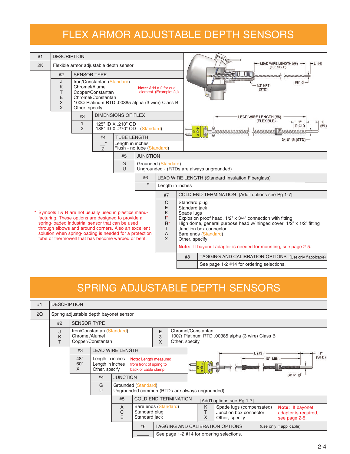# FLEX ARMOR ADJUSTABLE DEPTH SENSORS

| <b>DESCRIPTION</b><br>#1                                                           |                                                                                                                                                                                                                                                                                                                                           |                                        |                                                                       |  |                                                                                           |                                                                                                             |                                                                                                                                                                                                                                                                                                                         |                                                                                  |  |  |  |  |  |  |
|------------------------------------------------------------------------------------|-------------------------------------------------------------------------------------------------------------------------------------------------------------------------------------------------------------------------------------------------------------------------------------------------------------------------------------------|----------------------------------------|-----------------------------------------------------------------------|--|-------------------------------------------------------------------------------------------|-------------------------------------------------------------------------------------------------------------|-------------------------------------------------------------------------------------------------------------------------------------------------------------------------------------------------------------------------------------------------------------------------------------------------------------------------|----------------------------------------------------------------------------------|--|--|--|--|--|--|
| 2K                                                                                 |                                                                                                                                                                                                                                                                                                                                           | Flexible armor adjustable depth sensor |                                                                       |  |                                                                                           |                                                                                                             |                                                                                                                                                                                                                                                                                                                         | LEAD WIRE LENGTH (#6)<br>$-L(#4)$<br>(FLEXIBLE)<br><b>Illufthemananana ammum</b> |  |  |  |  |  |  |
|                                                                                    | #2                                                                                                                                                                                                                                                                                                                                        | <b>SENSOR TYPE</b>                     |                                                                       |  |                                                                                           |                                                                                                             |                                                                                                                                                                                                                                                                                                                         |                                                                                  |  |  |  |  |  |  |
|                                                                                    | J<br>K<br>T<br>E<br>3<br>X                                                                                                                                                                                                                                                                                                                | Chromel/Alumel<br>Other, specify       | Iron/Constantan (Standard)<br>Copper/Constantan<br>Chromel/Constantan |  |                                                                                           | Note: Add a 2 for dual<br>element. (Example: 2J)<br>100 $\Omega$ Platinum RTD .00385 alpha (3 wire) Class B |                                                                                                                                                                                                                                                                                                                         | 1/8"<br>1/2" NPT<br>(STD)                                                        |  |  |  |  |  |  |
|                                                                                    | <b>DIMENSIONS OF FLEX</b><br>#3                                                                                                                                                                                                                                                                                                           |                                        |                                                                       |  |                                                                                           |                                                                                                             |                                                                                                                                                                                                                                                                                                                         | LEAD WIRE LENGTH (#6)                                                            |  |  |  |  |  |  |
|                                                                                    | $\mathbf{1}$<br>.125" ID X .210" OD<br>$\overline{2}$<br>.188" ID X .270" OD (Standard)                                                                                                                                                                                                                                                   |                                        |                                                                       |  |                                                                                           |                                                                                                             | (FLEXIBLE)<br><b>RIGID</b><br>Emmunum                                                                                                                                                                                                                                                                                   |                                                                                  |  |  |  |  |  |  |
|                                                                                    | <b>TUBE LENGTH</b><br>#4                                                                                                                                                                                                                                                                                                                  |                                        |                                                                       |  |                                                                                           |                                                                                                             |                                                                                                                                                                                                                                                                                                                         | 3/16" Ø (STD)                                                                    |  |  |  |  |  |  |
| $\overline{1}$<br>Length in inches<br>$\overline{z}$<br>Flush - no tube (Standard) |                                                                                                                                                                                                                                                                                                                                           |                                        |                                                                       |  |                                                                                           |                                                                                                             |                                                                                                                                                                                                                                                                                                                         |                                                                                  |  |  |  |  |  |  |
| <b>JUNCTION</b><br>#5                                                              |                                                                                                                                                                                                                                                                                                                                           |                                        |                                                                       |  |                                                                                           |                                                                                                             |                                                                                                                                                                                                                                                                                                                         |                                                                                  |  |  |  |  |  |  |
| G<br>$\cup$                                                                        |                                                                                                                                                                                                                                                                                                                                           |                                        |                                                                       |  |                                                                                           | Grounded (Standard)<br>Ungrounded - (RTDs are always ungrounded)                                            |                                                                                                                                                                                                                                                                                                                         |                                                                                  |  |  |  |  |  |  |
| #6                                                                                 |                                                                                                                                                                                                                                                                                                                                           |                                        |                                                                       |  |                                                                                           |                                                                                                             |                                                                                                                                                                                                                                                                                                                         | <b>LEAD WIRE LENGTH (Standard Insulation Fiberglass)</b>                         |  |  |  |  |  |  |
| $\overline{\mathbf{3}}$                                                            |                                                                                                                                                                                                                                                                                                                                           |                                        |                                                                       |  |                                                                                           | Length in inches                                                                                            |                                                                                                                                                                                                                                                                                                                         |                                                                                  |  |  |  |  |  |  |
|                                                                                    |                                                                                                                                                                                                                                                                                                                                           |                                        |                                                                       |  |                                                                                           | #7                                                                                                          |                                                                                                                                                                                                                                                                                                                         | COLD END TERMINATION [Add'l options see Pg 1-7]                                  |  |  |  |  |  |  |
|                                                                                    | * Symbols I & R are not usually used in plastics manu-<br>facturing. These options are designed to provide a<br>spring-loaded industrial sensor that can be used<br>through elbows and around corners. Also an excellent<br>solution when spring-loading is needed for a protection<br>tube or thermowell that has become warped or bent. |                                        |                                                                       |  | $\mathsf{C}$<br>E<br>K<br><sup>*</sup><br>$\mathsf{R}^\star$<br>T.<br>$\overline{A}$<br>X |                                                                                                             | Standard plug<br>Standard jack<br>Spade lugs<br>Explosion proof head, 1/2" x 3/4" connection with fitting<br>High dome, general purpose head w/ hinged cover, 1/2" x 1/2" fitting<br>Junction box connector<br>Bare ends (Standard)<br>Other, specify<br>Note: If bayonet adapter is needed for mounting, see page 2-5. |                                                                                  |  |  |  |  |  |  |
|                                                                                    |                                                                                                                                                                                                                                                                                                                                           |                                        |                                                                       |  |                                                                                           |                                                                                                             | #8                                                                                                                                                                                                                                                                                                                      | TAGGING AND CALIBRATION OPTIONS (Use only if applicable)                         |  |  |  |  |  |  |
|                                                                                    |                                                                                                                                                                                                                                                                                                                                           |                                        |                                                                       |  |                                                                                           |                                                                                                             | See page 1-2 #14 for ordering selections.                                                                                                                                                                                                                                                                               |                                                                                  |  |  |  |  |  |  |

# SPRING ADJUSTABLE DEPTH SENSORS

| #1 | <b>DESCRIPTION</b> |                                                                                                                      |                         |                 |                                                                          |             |                                                    |                                                                                         |                                                                                                                                             |  |  |
|----|--------------------|----------------------------------------------------------------------------------------------------------------------|-------------------------|-----------------|--------------------------------------------------------------------------|-------------|----------------------------------------------------|-----------------------------------------------------------------------------------------|---------------------------------------------------------------------------------------------------------------------------------------------|--|--|
| 2Q |                    | Spring adjustable depth bayonet sensor                                                                               |                         |                 |                                                                          |             |                                                    |                                                                                         |                                                                                                                                             |  |  |
|    | #2                 | <b>SENSOR TYPE</b>                                                                                                   |                         |                 |                                                                          |             |                                                    |                                                                                         |                                                                                                                                             |  |  |
|    | J<br>K<br>T        | Iron/Constantan (Standard)<br>Chromel/Alumel<br>Copper/Constantan                                                    |                         |                 |                                                                          | Ε<br>3<br>X |                                                    | Chromel/Constantan<br>100Ω Platinum RTD .00385 alpha (3 wire) Class B<br>Other, specify |                                                                                                                                             |  |  |
|    |                    | #3                                                                                                                   | <b>LEAD WIRE LENGTH</b> |                 |                                                                          |             |                                                    |                                                                                         | L(#3)                                                                                                                                       |  |  |
|    |                    | 48"<br>Length in inches<br>60"<br>Length in inches<br>X<br>Other, specify                                            |                         |                 | Note: Length measured<br>from front of spring to<br>back of cable clamp. |             | (STD)<br>10" MIN.<br><b>MAANAHAMA</b><br>$\subset$ |                                                                                         |                                                                                                                                             |  |  |
|    |                    |                                                                                                                      | #4                      | <b>JUNCTION</b> |                                                                          |             |                                                    |                                                                                         | $3/16"$ $\emptyset$                                                                                                                         |  |  |
|    |                    | G<br>Grounded (Standard)<br>U<br>Ungrounded common (RTDs are always ungrounded)<br>#5<br><b>COLD END TERMINATION</b> |                         |                 |                                                                          |             |                                                    |                                                                                         |                                                                                                                                             |  |  |
|    |                    |                                                                                                                      |                         |                 |                                                                          |             |                                                    | [Add'l options see Pg 1-7]                                                              |                                                                                                                                             |  |  |
|    |                    |                                                                                                                      |                         | A<br>C<br>E     | Bare ends (Standard)<br>Standard plug<br>Standard jack                   |             |                                                    |                                                                                         | K<br>Spade lugs (compensated)<br>Note: If bayonet<br>Junction box connector<br>adapter is required,<br>X<br>Other, specify<br>see page 2-5. |  |  |
|    |                    |                                                                                                                      |                         | #6              | TAGGING AND CALIBRATION OPTIONS<br>(use only if applicable)              |             |                                                    |                                                                                         |                                                                                                                                             |  |  |
|    |                    |                                                                                                                      |                         |                 | See page 1-2 #14 for ordering selections.                                |             |                                                    |                                                                                         |                                                                                                                                             |  |  |